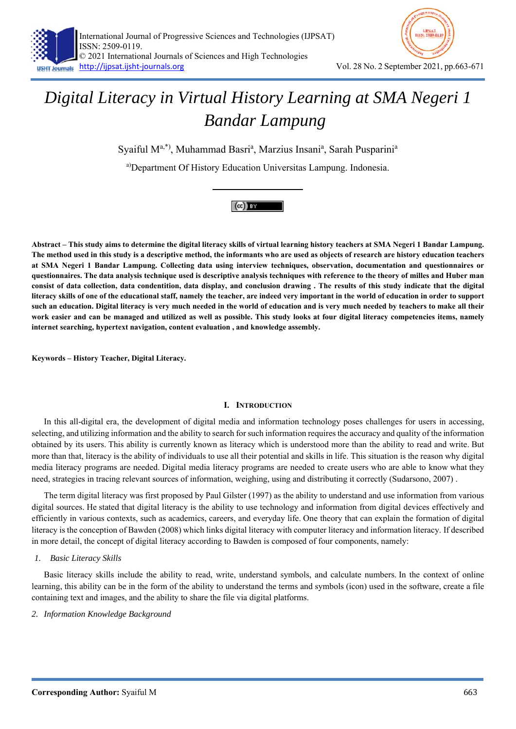

Syaiful M<sup>a,\*)</sup>, Muhammad Basri<sup>a</sup>, Marzius Insani<sup>a</sup>, Sarah Pusparini<sup>a</sup>

a)Department Of History Education Universitas Lampung. Indonesia.



**Abstract – This study aims to determine the digital literacy skills of virtual learning history teachers at SMA Negeri 1 Bandar Lampung. The method used in this study is a descriptive method, the informants who are used as objects of research are history education teachers at SMA Negeri 1 Bandar Lampung. Collecting data using interview techniques, observation, documentation and questionnaires or questionnaires. The data analysis technique used is descriptive analysis techniques with reference to the theory of milles and Huber man consist of data collection, data condentition, data display, and conclusion drawing . The results of this study indicate that the digital literacy skills of one of the educational staff, namely the teacher, are indeed very important in the world of education in order to support such an education. Digital literacy is very much needed in the world of education and is very much needed by teachers to make all their work easier and can be managed and utilized as well as possible. This study looks at four digital literacy competencies items, namely internet searching, hypertext navigation, content evaluation , and knowledge assembly.** 

**Keywords – History Teacher, Digital Literacy.** 

# **I. INTRODUCTION**

In this all-digital era, the development of digital media and information technology poses challenges for users in accessing, selecting, and utilizing information and the ability to search for such information requires the accuracy and quality of the information obtained by its users. This ability is currently known as literacy which is understood more than the ability to read and write. But more than that, literacy is the ability of individuals to use all their potential and skills in life. This situation is the reason why digital media literacy programs are needed. Digital media literacy programs are needed to create users who are able to know what they need, strategies in tracing relevant sources of information, weighing, using and distributing it correctly (Sudarsono, 2007) .

The term digital literacy was first proposed by Paul Gilster (1997) as the ability to understand and use information from various digital sources. He stated that digital literacy is the ability to use technology and information from digital devices effectively and efficiently in various contexts, such as academics, careers, and everyday life. One theory that can explain the formation of digital literacy is the conception of Bawden (2008) which links digital literacy with computer literacy and information literacy. If described in more detail, the concept of digital literacy according to Bawden is composed of four components, namely:

# *1. Basic Literacy Skills*

Basic literacy skills include the ability to read, write, understand symbols, and calculate numbers. In the context of online learning, this ability can be in the form of the ability to understand the terms and symbols (icon) used in the software, create a file containing text and images, and the ability to share the file via digital platforms.

# *2. Information Knowledge Background*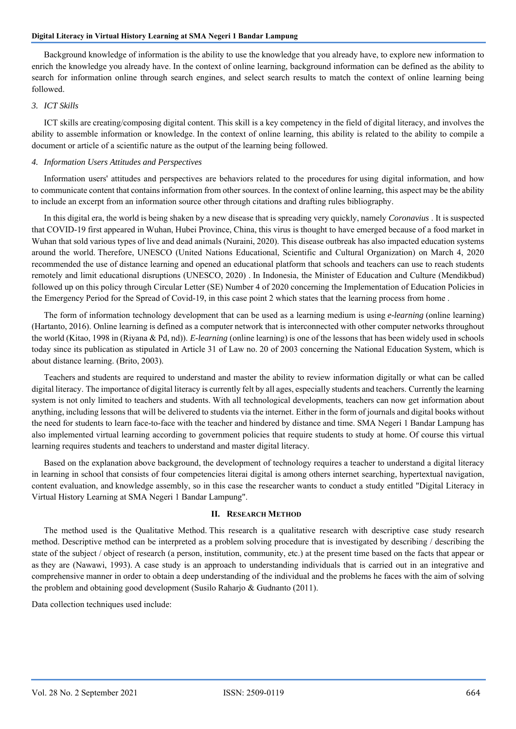Background knowledge of information is the ability to use the knowledge that you already have, to explore new information to enrich the knowledge you already have. In the context of online learning, background information can be defined as the ability to search for information online through search engines, and select search results to match the context of online learning being followed.

## *3. ICT Skills*

ICT skills are creating/composing digital content. This skill is a key competency in the field of digital literacy, and involves the ability to assemble information or knowledge. In the context of online learning, this ability is related to the ability to compile a document or article of a scientific nature as the output of the learning being followed.

# *4. Information Users Attitudes and Perspectives*

Information users' attitudes and perspectives are behaviors related to the procedures for using digital information, and how to communicate content that contains information from other sources. In the context of online learning, this aspect may be the ability to include an excerpt from an information source other through citations and drafting rules bibliography.

In this digital era, the world is being shaken by a new disease that is spreading very quickly, namely *Coronavius* . It is suspected that COVID-19 first appeared in Wuhan, Hubei Province, China, this virus is thought to have emerged because of a food market in Wuhan that sold various types of live and dead animals (Nuraini, 2020). This disease outbreak has also impacted education systems around the world. Therefore, UNESCO (United Nations Educational, Scientific and Cultural Organization) on March 4, 2020 recommended the use of distance learning and opened an educational platform that schools and teachers can use to reach students remotely and limit educational disruptions (UNESCO, 2020) . In Indonesia, the Minister of Education and Culture (Mendikbud) followed up on this policy through Circular Letter (SE) Number 4 of 2020 concerning the Implementation of Education Policies in the Emergency Period for the Spread of Covid-19, in this case point 2 which states that the learning process from home .

The form of information technology development that can be used as a learning medium is using *e-learning* (online learning) (Hartanto, 2016). Online learning is defined as a computer network that is interconnected with other computer networks throughout the world (Kitao, 1998 in (Riyana & Pd, nd)). *E-learning* (online learning) is one of the lessons that has been widely used in schools today since its publication as stipulated in Article 31 of Law no. 20 of 2003 concerning the National Education System, which is about distance learning. (Brito, 2003).

Teachers and students are required to understand and master the ability to review information digitally or what can be called digital literacy. The importance of digital literacy is currently felt by all ages, especially students and teachers. Currently the learning system is not only limited to teachers and students. With all technological developments, teachers can now get information about anything, including lessons that will be delivered to students via the internet. Either in the form of journals and digital books without the need for students to learn face-to-face with the teacher and hindered by distance and time. SMA Negeri 1 Bandar Lampung has also implemented virtual learning according to government policies that require students to study at home. Of course this virtual learning requires students and teachers to understand and master digital literacy.

Based on the explanation above background, the development of technology requires a teacher to understand a digital literacy in learning in school that consists of four competencies literai digital is among others internet searching, hypertextual navigation, content evaluation, and knowledge assembly, so in this case the researcher wants to conduct a study entitled "Digital Literacy in Virtual History Learning at SMA Negeri 1 Bandar Lampung".

#### **II. RESEARCH METHOD**

The method used is the Qualitative Method. This research is a qualitative research with descriptive case study research method. Descriptive method can be interpreted as a problem solving procedure that is investigated by describing / describing the state of the subject / object of research (a person, institution, community, etc.) at the present time based on the facts that appear or as they are (Nawawi, 1993). A case study is an approach to understanding individuals that is carried out in an integrative and comprehensive manner in order to obtain a deep understanding of the individual and the problems he faces with the aim of solving the problem and obtaining good development (Susilo Raharjo & Gudnanto (2011).

Data collection techniques used include: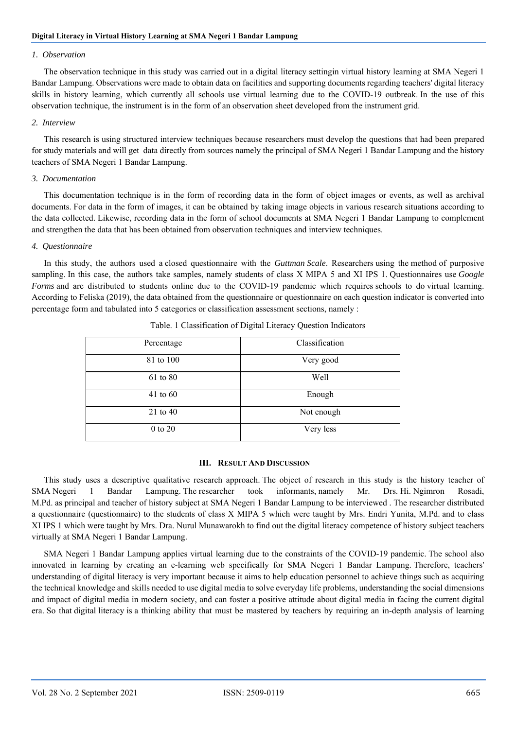# *1. Observation*

The observation technique in this study was carried out in a digital literacy settingin virtual history learning at SMA Negeri 1 Bandar Lampung. Observations were made to obtain data on facilities and supporting documents regarding teachers' digital literacy skills in history learning, which currently all schools use virtual learning due to the COVID-19 outbreak. In the use of this observation technique, the instrument is in the form of an observation sheet developed from the instrument grid.

# *2. Interview*

This research is using structured interview techniques because researchers must develop the questions that had been prepared for study materials and will get data directly from sources namely the principal of SMA Negeri 1 Bandar Lampung and the history teachers of SMA Negeri 1 Bandar Lampung.

## *3. Documentation*

This documentation technique is in the form of recording data in the form of object images or events, as well as archival documents. For data in the form of images, it can be obtained by taking image objects in various research situations according to the data collected. Likewise, recording data in the form of school documents at SMA Negeri 1 Bandar Lampung to complement and strengthen the data that has been obtained from observation techniques and interview techniques.

## *4. Questionnaire*

In this study, the authors used a closed questionnaire with the *Guttman Scale*. Researchers using the method of purposive sampling. In this case, the authors take samples, namely students of class X MIPA 5 and XI IPS 1. Questionnaires use *Google Forms* and are distributed to students online due to the COVID-19 pandemic which requires schools to do virtual learning. According to Feliska (2019), the data obtained from the questionnaire or questionnaire on each question indicator is converted into percentage form and tabulated into 5 categories or classification assessment sections, namely :

| Percentage   | Classification |
|--------------|----------------|
| 81 to 100    | Very good      |
| 61 to 80     | Well           |
| $41$ to $60$ | Enough         |
| $21$ to $40$ | Not enough     |
| 0 to 20      | Very less      |

| Table. 1 Classification of Digital Literacy Question Indicators |  |  |
|-----------------------------------------------------------------|--|--|
|                                                                 |  |  |

## **III. RESULT AND DISCUSSION**

This study uses a descriptive qualitative research approach. The object of research in this study is the history teacher of SMA Negeri 1 Bandar Lampung. The researcher took informants, namely Mr. Drs. Hi. Ngimron Rosadi, M.Pd. as principal and teacher of history subject at SMA Negeri 1 Bandar Lampung to be interviewed . The researcher distributed a questionnaire (questionnaire) to the students of class X MIPA 5 which were taught by Mrs. Endri Yunita, M.Pd. and to class XI IPS 1 which were taught by Mrs. Dra. Nurul Munawarokh to find out the digital literacy competence of history subject teachers virtually at SMA Negeri 1 Bandar Lampung.

SMA Negeri 1 Bandar Lampung applies virtual learning due to the constraints of the COVID-19 pandemic. The school also innovated in learning by creating an e-learning web specifically for SMA Negeri 1 Bandar Lampung. Therefore, teachers' understanding of digital literacy is very important because it aims to help education personnel to achieve things such as acquiring the technical knowledge and skills needed to use digital media to solve everyday life problems, understanding the social dimensions and impact of digital media in modern society, and can foster a positive attitude about digital media in facing the current digital era. So that digital literacy is a thinking ability that must be mastered by teachers by requiring an in-depth analysis of learning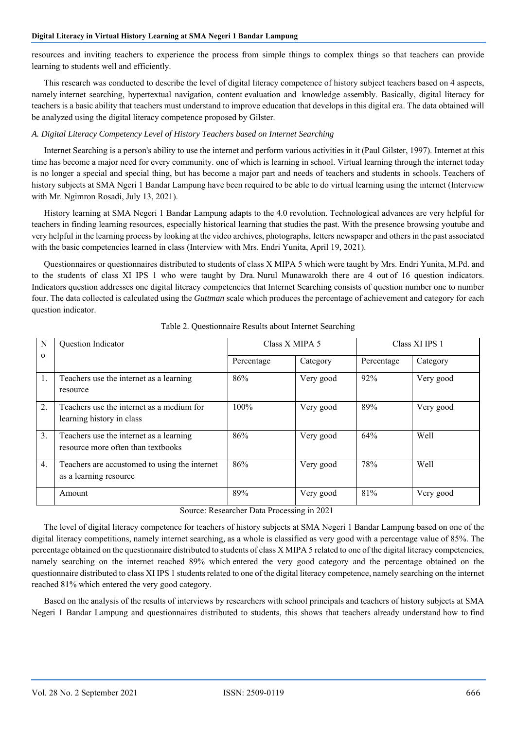resources and inviting teachers to experience the process from simple things to complex things so that teachers can provide learning to students well and efficiently.

This research was conducted to describe the level of digital literacy competence of history subject teachers based on 4 aspects, namely internet searching, hypertextual navigation, content evaluation and knowledge assembly. Basically, digital literacy for teachers is a basic ability that teachers must understand to improve education that develops in this digital era. The data obtained will be analyzed using the digital literacy competence proposed by Gilster.

# *A. Digital Literacy Competency Level of History Teachers based on Internet Searching*

Internet Searching is a person's ability to use the internet and perform various activities in it (Paul Gilster, 1997). Internet at this time has become a major need for every community. one of which is learning in school. Virtual learning through the internet today is no longer a special and special thing, but has become a major part and needs of teachers and students in schools. Teachers of history subjects at SMA Ngeri 1 Bandar Lampung have been required to be able to do virtual learning using the internet (Interview with Mr. Ngimron Rosadi, July 13, 2021).

History learning at SMA Negeri 1 Bandar Lampung adapts to the 4.0 revolution. Technological advances are very helpful for teachers in finding learning resources, especially historical learning that studies the past. With the presence browsing youtube and very helpful in the learning process by looking at the video archives, photographs, letters newspaper and others in the past associated with the basic competencies learned in class (Interview with Mrs. Endri Yunita, April 19, 2021).

Questionnaires or questionnaires distributed to students of class X MIPA 5 which were taught by Mrs. Endri Yunita, M.Pd. and to the students of class XI IPS 1 who were taught by Dra. Nurul Munawarokh there are 4 out of 16 question indicators. Indicators question addresses one digital literacy competencies that Internet Searching consists of question number one to number four. The data collected is calculated using the *Guttman* scale which produces the percentage of achievement and category for each question indicator.

| N        | Question Indicator                                                            | Class X MIPA 5 |           | Class XI IPS 1 |           |
|----------|-------------------------------------------------------------------------------|----------------|-----------|----------------|-----------|
| $\Omega$ |                                                                               | Percentage     | Category  | Percentage     | Category  |
| 1.       | Teachers use the internet as a learning<br>resource                           | 86%            | Very good | 92%            | Very good |
| 2.       | Teachers use the internet as a medium for<br>learning history in class        | $100\%$        | Very good | 89%            | Very good |
| 3.       | Teachers use the internet as a learning<br>resource more often than textbooks | 86%            | Very good | 64%            | Well      |
| 4.       | Teachers are accustomed to using the internet<br>as a learning resource       | 86%            | Very good | 78%            | Well      |
|          | Amount                                                                        | 89%            | Very good | 81%            | Very good |

Table 2. Questionnaire Results about Internet Searching

Source: Researcher Data Processing in 2021

The level of digital literacy competence for teachers of history subjects at SMA Negeri 1 Bandar Lampung based on one of the digital literacy competitions, namely internet searching*,* as a whole is classified as very good with a percentage value of 85%. The percentage obtained on the questionnaire distributed to students of class X MIPA 5 related to one of the digital literacy competencies, namely searching on the internet reached 89% which entered the very good category and the percentage obtained on the questionnaire distributed to class XI IPS 1 students related to one of the digital literacy competence, namely searching on the internet reached 81% which entered the very good category.

Based on the analysis of the results of interviews by researchers with school principals and teachers of history subjects at SMA Negeri 1 Bandar Lampung and questionnaires distributed to students, this shows that teachers already understand how to find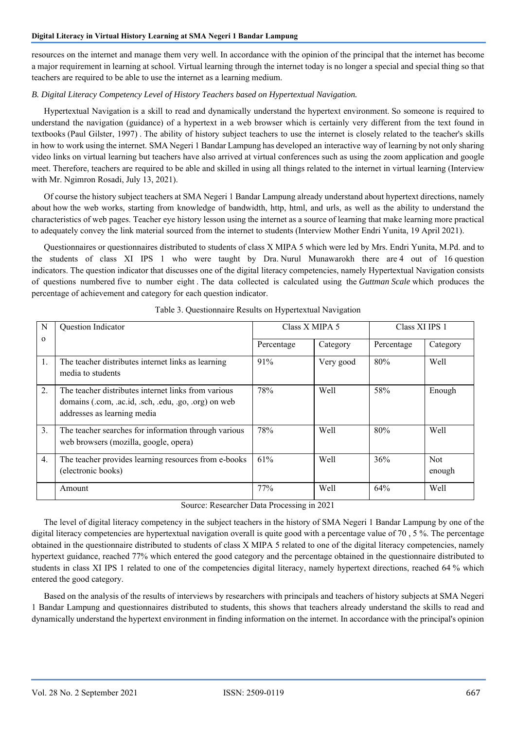resources on the internet and manage them very well. In accordance with the opinion of the principal that the internet has become a major requirement in learning at school. Virtual learning through the internet today is no longer a special and special thing so that teachers are required to be able to use the internet as a learning medium.

# *B. Digital Literacy Competency Level of History Teachers based on Hypertextual Navigation.*

Hypertextual Navigation is a skill to read and dynamically understand the hypertext environment. So someone is required to understand the navigation (guidance) of a hypertext in a web browser which is certainly very different from the text found in textbooks (Paul Gilster, 1997) . The ability of history subject teachers to use the internet is closely related to the teacher's skills in how to work using the internet. SMA Negeri 1 Bandar Lampung has developed an interactive way of learning by not only sharing video links on virtual learning but teachers have also arrived at virtual conferences such as using the zoom application and google meet. Therefore, teachers are required to be able and skilled in using all things related to the internet in virtual learning (Interview with Mr. Ngimron Rosadi, July 13, 2021).

Of course the history subject teachers at SMA Negeri 1 Bandar Lampung already understand about hypertext directions, namely about how the web works, starting from knowledge of bandwidth, http, html, and urls, as well as the ability to understand the characteristics of web pages. Teacher eye history lesson using the internet as a source of learning that make learning more practical to adequately convey the link material sourced from the internet to students (Interview Mother Endri Yunita, 19 April 2021).

Questionnaires or questionnaires distributed to students of class X MIPA 5 which were led by Mrs. Endri Yunita, M.Pd. and to the students of class XI IPS 1 who were taught by Dra. Nurul Munawarokh there are 4 out of 16 question indicators. The question indicator that discusses one of the digital literacy competencies, namely Hypertextual Navigation consists of questions numbered five to number eight . The data collected is calculated using the *Guttman Scale* which produces the percentage of achievement and category for each question indicator.

| N        | <b>Question Indicator</b>                                                                                                                  | Class X MIPA 5 |           | Class XI IPS 1 |                      |
|----------|--------------------------------------------------------------------------------------------------------------------------------------------|----------------|-----------|----------------|----------------------|
| $\Omega$ |                                                                                                                                            | Percentage     | Category  | Percentage     | Category             |
| 1.       | The teacher distributes internet links as learning<br>media to students                                                                    | 91%            | Very good | 80%            | Well                 |
| 2.       | The teacher distributes internet links from various<br>domains (.com, .ac.id, .sch, .edu, .go, .org) on web<br>addresses as learning media | 78%            | Well      | 58%            | Enough               |
| 3.       | The teacher searches for information through various<br>web browsers (mozilla, google, opera)                                              | 78%            | Well      | 80%            | Well                 |
| 4.       | The teacher provides learning resources from e-books<br>(electronic books)                                                                 | 61%            | Well      | 36%            | <b>Not</b><br>enough |
|          | Amount                                                                                                                                     | 77%            | Well      | 64%            | Well                 |

Table 3. Questionnaire Results on Hypertextual Navigation

Source: Researcher Data Processing in 2021

The level of digital literacy competency in the subject teachers in the history of SMA Negeri 1 Bandar Lampung by one of the digital literacy competencies are hypertextual navigation overall is quite good with a percentage value of 70, 5%. The percentage obtained in the questionnaire distributed to students of class X MIPA 5 related to one of the digital literacy competencies, namely hypertext guidance, reached 77% which entered the good category and the percentage obtained in the questionnaire distributed to students in class XI IPS 1 related to one of the competencies digital literacy, namely hypertext directions, reached 64 % which entered the good category.

Based on the analysis of the results of interviews by researchers with principals and teachers of history subjects at SMA Negeri 1 Bandar Lampung and questionnaires distributed to students, this shows that teachers already understand the skills to read and dynamically understand the hypertext environment in finding information on the internet. In accordance with the principal's opinion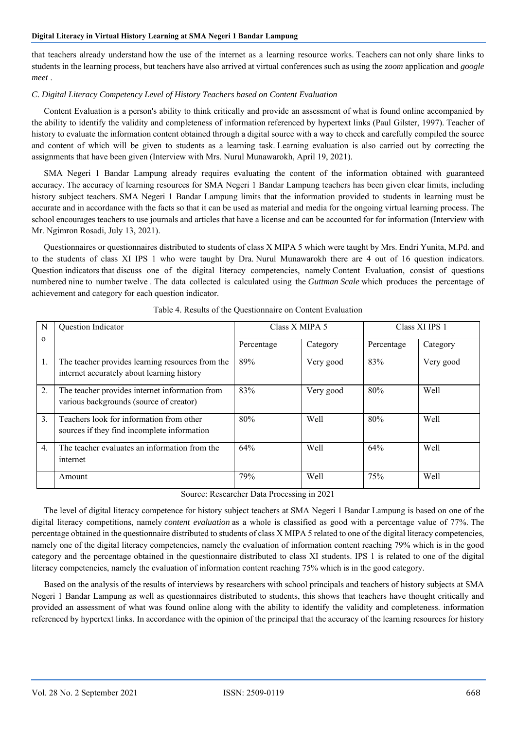that teachers already understand how the use of the internet as a learning resource works. Teachers can not only share links to students in the learning process, but teachers have also arrived at virtual conferences such as using the *zoom* application and *google meet* .

# *C. Digital Literacy Competency Level of History Teachers based on Content Evaluation*

Content Evaluation is a person's ability to think critically and provide an assessment of what is found online accompanied by the ability to identify the validity and completeness of information referenced by hypertext links (Paul Gilster, 1997). Teacher of history to evaluate the information content obtained through a digital source with a way to check and carefully compiled the source and content of which will be given to students as a learning task. Learning evaluation is also carried out by correcting the assignments that have been given (Interview with Mrs. Nurul Munawarokh, April 19, 2021).

SMA Negeri 1 Bandar Lampung already requires evaluating the content of the information obtained with guaranteed accuracy. The accuracy of learning resources for SMA Negeri 1 Bandar Lampung teachers has been given clear limits, including history subject teachers. SMA Negeri 1 Bandar Lampung limits that the information provided to students in learning must be accurate and in accordance with the facts so that it can be used as material and media for the ongoing virtual learning process. The school encourages teachers to use journals and articles that have a license and can be accounted for for information (Interview with Mr. Ngimron Rosadi, July 13, 2021).

Questionnaires or questionnaires distributed to students of class X MIPA 5 which were taught by Mrs. Endri Yunita, M.Pd. and to the students of class XI IPS 1 who were taught by Dra. Nurul Munawarokh there are 4 out of 16 question indicators. Question indicators that discuss one of the digital literacy competencies, namely Content Evaluation, consist of questions numbered nine to number twelve . The data collected is calculated using the *Guttman Scale* which produces the percentage of achievement and category for each question indicator.

| N                | Question Indicator                                                                             | Class X MIPA 5 |           | Class XI IPS 1 |           |
|------------------|------------------------------------------------------------------------------------------------|----------------|-----------|----------------|-----------|
| $\Omega$         |                                                                                                | Percentage     | Category  | Percentage     | Category  |
| 1.               | The teacher provides learning resources from the<br>internet accurately about learning history | 89%            | Very good | 83%            | Very good |
| 2.               | The teacher provides internet information from<br>various backgrounds (source of creator)      | 83%            | Very good | 80%            | Well      |
| 3.               | Teachers look for information from other<br>sources if they find incomplete information        | 80%            | Well      | 80%            | Well      |
| $\overline{4}$ . | The teacher evaluates an information from the<br>internet                                      | 64%            | Well      | 64%            | Well      |
|                  | Amount                                                                                         | 79%            | Well      | 75%            | Well      |

Table 4. Results of the Questionnaire on Content Evaluation

Source: Researcher Data Processing in 2021

The level of digital literacy competence for history subject teachers at SMA Negeri 1 Bandar Lampung is based on one of the digital literacy competitions, namely *content evaluation* as a whole is classified as good with a percentage value of 77%. The percentage obtained in the questionnaire distributed to students of class X MIPA 5 related to one of the digital literacy competencies, namely one of the digital literacy competencies, namely the evaluation of information content reaching 79% which is in the good category and the percentage obtained in the questionnaire distributed to class XI students. IPS 1 is related to one of the digital literacy competencies, namely the evaluation of information content reaching 75% which is in the good category.

Based on the analysis of the results of interviews by researchers with school principals and teachers of history subjects at SMA Negeri 1 Bandar Lampung as well as questionnaires distributed to students, this shows that teachers have thought critically and provided an assessment of what was found online along with the ability to identify the validity and completeness. information referenced by hypertext links. In accordance with the opinion of the principal that the accuracy of the learning resources for history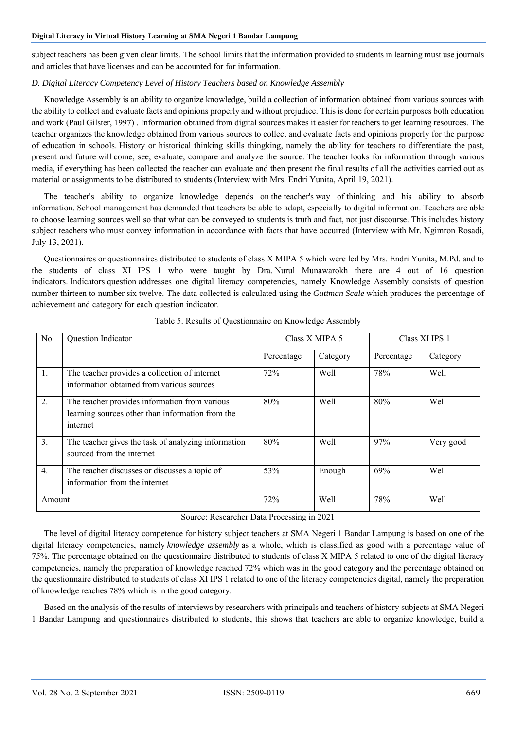subject teachers has been given clear limits. The school limits that the information provided to students in learning must use journals and articles that have licenses and can be accounted for for information.

# *D. Digital Literacy Competency Level of History Teachers based on Knowledge Assembly*

Knowledge Assembly is an ability to organize knowledge, build a collection of information obtained from various sources with the ability to collect and evaluate facts and opinions properly and without prejudice. This is done for certain purposes both education and work (Paul Gilster, 1997) . Information obtained from digital sources makes it easier for teachers to get learning resources. The teacher organizes the knowledge obtained from various sources to collect and evaluate facts and opinions properly for the purpose of education in schools. History or historical thinking skills thingking, namely the ability for teachers to differentiate the past, present and future will come, see, evaluate, compare and analyze the source. The teacher looks for information through various media, if everything has been collected the teacher can evaluate and then present the final results of all the activities carried out as material or assignments to be distributed to students (Interview with Mrs. Endri Yunita, April 19, 2021).

The teacher's ability to organize knowledge depends on the teacher's way of thinking and his ability to absorb information. School management has demanded that teachers be able to adapt, especially to digital information. Teachers are able to choose learning sources well so that what can be conveyed to students is truth and fact, not just discourse. This includes history subject teachers who must convey information in accordance with facts that have occurred (Interview with Mr. Ngimron Rosadi, July 13, 2021).

Questionnaires or questionnaires distributed to students of class X MIPA 5 which were led by Mrs. Endri Yunita, M.Pd. and to the students of class XI IPS 1 who were taught by Dra. Nurul Munawarokh there are 4 out of 16 question indicators. Indicators question addresses one digital literacy competencies, namely Knowledge Assembly consists of question number thirteen to number six twelve. The data collected is calculated using the *Guttman Scale* which produces the percentage of achievement and category for each question indicator.

| No     | Question Indicator                                                                                            | Class X MIPA 5 |          | Class XI IPS 1 |           |
|--------|---------------------------------------------------------------------------------------------------------------|----------------|----------|----------------|-----------|
|        |                                                                                                               | Percentage     | Category | Percentage     | Category  |
| 1.     | The teacher provides a collection of internet<br>information obtained from various sources                    | 72%            | Well     | 78%            | Well      |
| 2.     | The teacher provides information from various<br>learning sources other than information from the<br>internet | 80%            | Well     | 80%            | Well      |
| 3.     | The teacher gives the task of analyzing information<br>sourced from the internet                              | 80%            | Well     | 97%            | Very good |
| 4.     | The teacher discusses or discusses a topic of<br>information from the internet                                | 53%            | Enough   | 69%            | Well      |
| Amount |                                                                                                               | 72%            | Well     | 78%            | Well      |

Table 5. Results of Questionnaire on Knowledge Assembly

# Source: Researcher Data Processing in 2021

The level of digital literacy competence for history subject teachers at SMA Negeri 1 Bandar Lampung is based on one of the digital literacy competencies, namely *knowledge assembly* as a whole, which is classified as good with a percentage value of 75%. The percentage obtained on the questionnaire distributed to students of class X MIPA 5 related to one of the digital literacy competencies, namely the preparation of knowledge reached 72% which was in the good category and the percentage obtained on the questionnaire distributed to students of class XI IPS 1 related to one of the literacy competencies digital, namely the preparation of knowledge reaches 78% which is in the good category.

Based on the analysis of the results of interviews by researchers with principals and teachers of history subjects at SMA Negeri 1 Bandar Lampung and questionnaires distributed to students, this shows that teachers are able to organize knowledge, build a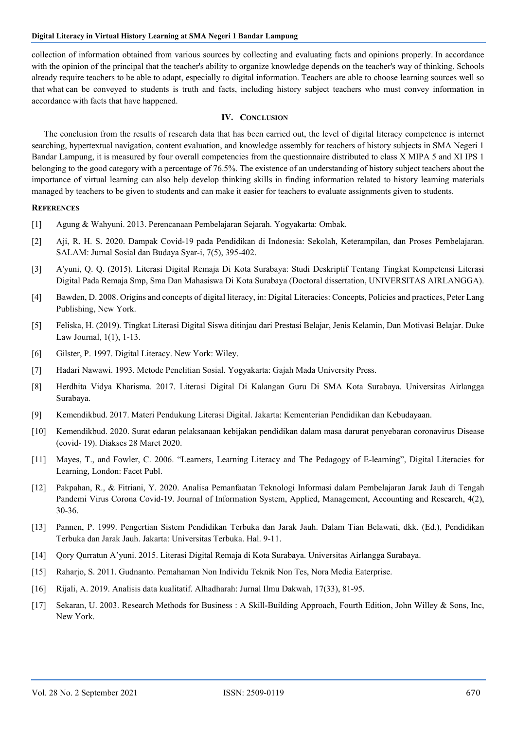collection of information obtained from various sources by collecting and evaluating facts and opinions properly. In accordance with the opinion of the principal that the teacher's ability to organize knowledge depends on the teacher's way of thinking. Schools already require teachers to be able to adapt, especially to digital information. Teachers are able to choose learning sources well so that what can be conveyed to students is truth and facts, including history subject teachers who must convey information in accordance with facts that have happened.

# **IV. CONCLUSION**

The conclusion from the results of research data that has been carried out, the level of digital literacy competence is internet searching, hypertextual navigation, content evaluation, and knowledge assembly for teachers of history subjects in SMA Negeri 1 Bandar Lampung, it is measured by four overall competencies from the questionnaire distributed to class X MIPA 5 and XI IPS 1 belonging to the good category with a percentage of 76.5%. The existence of an understanding of history subject teachers about the importance of virtual learning can also help develop thinking skills in finding information related to history learning materials managed by teachers to be given to students and can make it easier for teachers to evaluate assignments given to students.

#### **REFERENCES**

- [1] Agung & Wahyuni. 2013. Perencanaan Pembelajaran Sejarah. Yogyakarta: Ombak.
- [2] Aji, R. H. S. 2020. Dampak Covid-19 pada Pendidikan di Indonesia: Sekolah, Keterampilan, dan Proses Pembelajaran. SALAM: Jurnal Sosial dan Budaya Syar-i, 7(5), 395-402.
- [3] A'yuni, Q. Q. (2015). Literasi Digital Remaja Di Kota Surabaya: Studi Deskriptif Tentang Tingkat Kompetensi Literasi Digital Pada Remaja Smp, Sma Dan Mahasiswa Di Kota Surabaya (Doctoral dissertation, UNIVERSITAS AIRLANGGA).
- [4] Bawden, D. 2008. Origins and concepts of digital literacy, in: Digital Literacies: Concepts, Policies and practices, Peter Lang Publishing, New York.
- [5] Feliska, H. (2019). Tingkat Literasi Digital Siswa ditinjau dari Prestasi Belajar, Jenis Kelamin, Dan Motivasi Belajar. Duke Law Journal, 1(1), 1-13.
- [6] Gilster, P. 1997. Digital Literacy. New York: Wiley.
- [7] Hadari Nawawi. 1993. Metode Penelitian Sosial. Yogyakarta: Gajah Mada University Press.
- [8] Herdhita Vidya Kharisma. 2017. Literasi Digital Di Kalangan Guru Di SMA Kota Surabaya. Universitas Airlangga Surabaya.
- [9] Kemendikbud. 2017. Materi Pendukung Literasi Digital. Jakarta: Kementerian Pendidikan dan Kebudayaan.
- [10] Kemendikbud. 2020. Surat edaran pelaksanaan kebijakan pendidikan dalam masa darurat penyebaran coronavirus Disease (covid- 19). Diakses 28 Maret 2020.
- [11] Mayes, T., and Fowler, C. 2006. "Learners, Learning Literacy and The Pedagogy of E-learning", Digital Literacies for Learning, London: Facet Publ.
- [12] Pakpahan, R., & Fitriani, Y. 2020. Analisa Pemanfaatan Teknologi Informasi dalam Pembelajaran Jarak Jauh di Tengah Pandemi Virus Corona Covid-19. Journal of Information System, Applied, Management, Accounting and Research, 4(2), 30-36.
- [13] Pannen, P. 1999. Pengertian Sistem Pendidikan Terbuka dan Jarak Jauh. Dalam Tian Belawati, dkk. (Ed.), Pendidikan Terbuka dan Jarak Jauh. Jakarta: Universitas Terbuka. Hal. 9-11.
- [14] Qory Qurratun A'yuni. 2015. Literasi Digital Remaja di Kota Surabaya. Universitas Airlangga Surabaya.
- [15] Raharjo, S. 2011. Gudnanto. Pemahaman Non Individu Teknik Non Tes, Nora Media Eaterprise.
- [16] Rijali, A. 2019. Analisis data kualitatif. Alhadharah: Jurnal Ilmu Dakwah, 17(33), 81-95.
- [17] Sekaran, U. 2003. Research Methods for Business : A Skill-Building Approach, Fourth Edition, John Willey & Sons, Inc, New York.